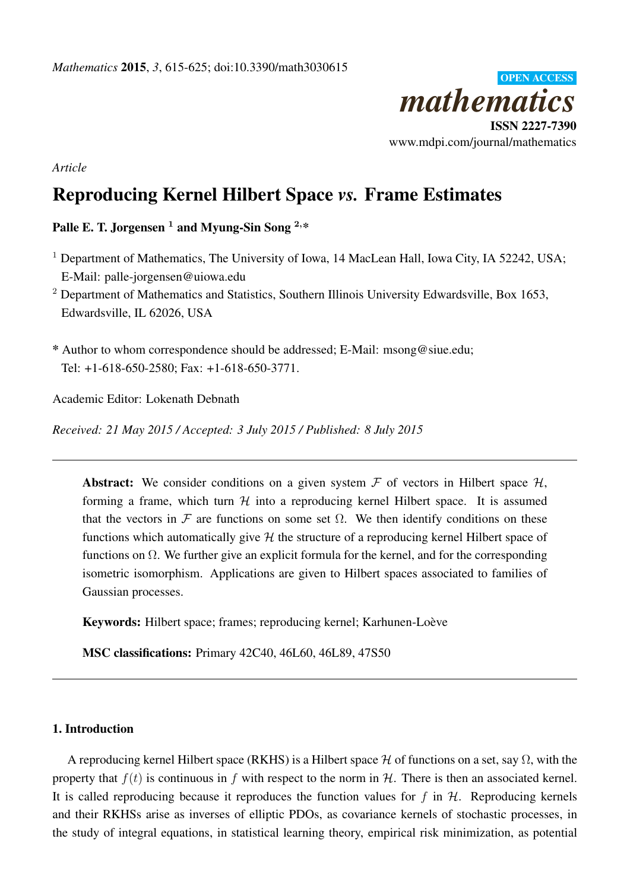

*Article*

# Reproducing Kernel Hilbert Space *vs.* Frame Estimates

# Palle E. T. Jorgensen<sup>1</sup> and Myung-Sin Song<sup>2,\*</sup>

<sup>1</sup> Department of Mathematics, The University of Iowa, 14 MacLean Hall, Iowa City, IA 52242, USA; E-Mail: palle-jorgensen@uiowa.edu

<sup>2</sup> Department of Mathematics and Statistics, Southern Illinois University Edwardsville, Box 1653, Edwardsville, IL 62026, USA

\* Author to whom correspondence should be addressed; E-Mail: msong@siue.edu; Tel: +1-618-650-2580; Fax: +1-618-650-3771.

Academic Editor: Lokenath Debnath

*Received: 21 May 2015 / Accepted: 3 July 2015 / Published: 8 July 2015*

Abstract: We consider conditions on a given system  $\mathcal F$  of vectors in Hilbert space  $\mathcal H$ , forming a frame, which turn  $H$  into a reproducing kernel Hilbert space. It is assumed that the vectors in F are functions on some set  $\Omega$ . We then identify conditions on these functions which automatically give  $H$  the structure of a reproducing kernel Hilbert space of functions on  $\Omega$ . We further give an explicit formula for the kernel, and for the corresponding isometric isomorphism. Applications are given to Hilbert spaces associated to families of Gaussian processes.

Keywords: Hilbert space; frames; reproducing kernel; Karhunen-Loève

MSC classifications: Primary 42C40, 46L60, 46L89, 47S50

# 1. Introduction

A reproducing kernel Hilbert space (RKHS) is a Hilbert space  $H$  of functions on a set, say  $\Omega$ , with the property that  $f(t)$  is continuous in f with respect to the norm in H. There is then an associated kernel. It is called reproducing because it reproduces the function values for  $f$  in  $H$ . Reproducing kernels and their RKHSs arise as inverses of elliptic PDOs, as covariance kernels of stochastic processes, in the study of integral equations, in statistical learning theory, empirical risk minimization, as potential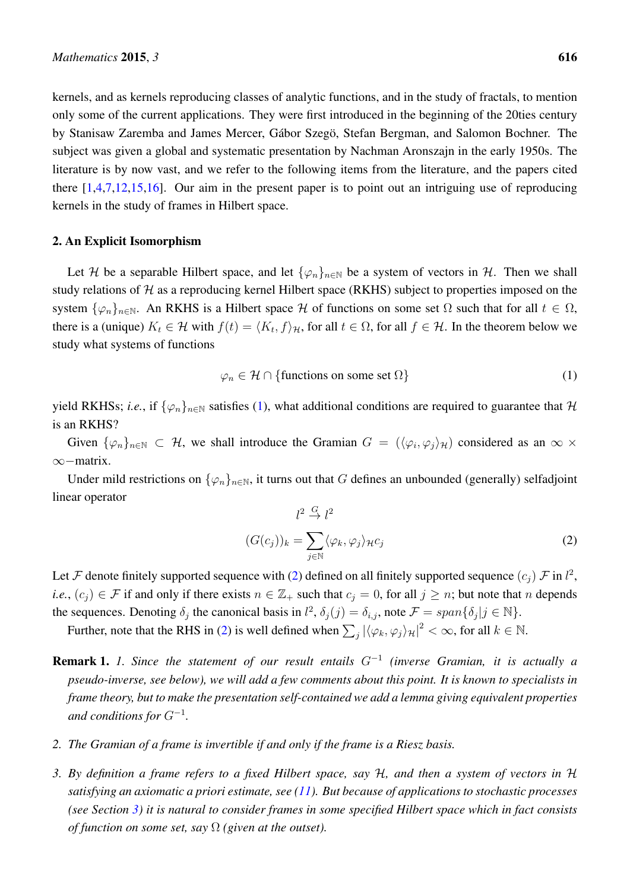kernels, and as kernels reproducing classes of analytic functions, and in the study of fractals, to mention only some of the current applications. They were first introduced in the beginning of the 20ties century by Stanisaw Zaremba and James Mercer, Gábor Szegö, Stefan Bergman, and Salomon Bochner. The subject was given a global and systematic presentation by Nachman Aronszajn in the early 1950s. The literature is by now vast, and we refer to the following items from the literature, and the papers cited there  $[1,4,7,12,15,16]$  $[1,4,7,12,15,16]$  $[1,4,7,12,15,16]$  $[1,4,7,12,15,16]$  $[1,4,7,12,15,16]$  $[1,4,7,12,15,16]$ . Our aim in the present paper is to point out an intriguing use of reproducing kernels in the study of frames in Hilbert space.

# 2. An Explicit Isomorphism

Let H be a separable Hilbert space, and let  $\{\varphi_n\}_{n\in\mathbb{N}}$  be a system of vectors in H. Then we shall study relations of  $H$  as a reproducing kernel Hilbert space (RKHS) subject to properties imposed on the system  $\{\varphi_n\}_{n\in\mathbb{N}}$ . An RKHS is a Hilbert space H of functions on some set  $\Omega$  such that for all  $t \in \Omega$ , there is a (unique)  $K_t \in \mathcal{H}$  with  $f(t) = \langle K_t, f \rangle_{\mathcal{H}}$ , for all  $t \in \Omega$ , for all  $f \in \mathcal{H}$ . In the theorem below we study what systems of functions

<span id="page-1-0"></span>
$$
\varphi_n \in \mathcal{H} \cap \{\text{functions on some set } \Omega\} \tag{1}
$$

yield RKHSs; *i.e.*, if  $\{\varphi_n\}_{n\in\mathbb{N}}$  satisfies [\(1\)](#page-1-0), what additional conditions are required to guarantee that H is an RKHS?

Given  $\{\varphi_n\}_{n\in\mathbb{N}}\subset\mathcal{H}$ , we shall introduce the Gramian  $G = (\langle\varphi_i,\varphi_j\rangle_{\mathcal{H}})$  considered as an  $\infty\times$ ∞−matrix.

Under mild restrictions on  $\{\varphi_n\}_{n\in\mathbb{N}}$ , it turns out that G defines an unbounded (generally) selfadjoint linear operator

<span id="page-1-1"></span>
$$
l^2 \stackrel{G}{\to} l^2
$$

$$
(G(c_j))_k = \sum_{j \in \mathbb{N}} \langle \varphi_k, \varphi_j \rangle_{\mathcal{H}c_j}
$$
 (2)

Let  ${\cal F}$  denote finitely supported sequence with [\(2\)](#page-1-1) defined on all finitely supported sequence  $(c_j)$   ${\cal F}$  in  $l^2$ , *i.e.*,  $(c_i) \in \mathcal{F}$  if and only if there exists  $n \in \mathbb{Z}_+$  such that  $c_i = 0$ , for all  $j \geq n$ ; but note that n depends the sequences. Denoting  $\delta_j$  the canonical basis in  $l^2$ ,  $\delta_j(j) = \delta_{i,j}$ , note  $\mathcal{F} = span{\delta_j | j \in \mathbb{N}}$ .

Further, note that the RHS in [\(2\)](#page-1-1) is well defined when  $\sum_j |\langle \varphi_k, \varphi_j \rangle_{\mathcal{H}}|^2 < \infty$ , for all  $k \in \mathbb{N}$ .

- Remark 1. *1. Since the statement of our result entails* G<sup>−</sup><sup>1</sup> *(inverse Gramian, it is actually a pseudo-inverse, see below), we will add a few comments about this point. It is known to specialists in frame theory, but to make the presentation self-contained we add a lemma giving equivalent properties and conditions for* G<sup>−</sup><sup>1</sup> *.*
- *2. The Gramian of a frame is invertible if and only if the frame is a Riesz basis.*
- *3. By definition a frame refers to a fixed Hilbert space, say* H*, and then a system of vectors in* H *satisfying an axiomatic a priori estimate, see [\(11\)](#page-3-0). But because of applications to stochastic processes (see Section [3\)](#page-7-0) it is natural to consider frames in some specified Hilbert space which in fact consists of function on some set, say* Ω *(given at the outset).*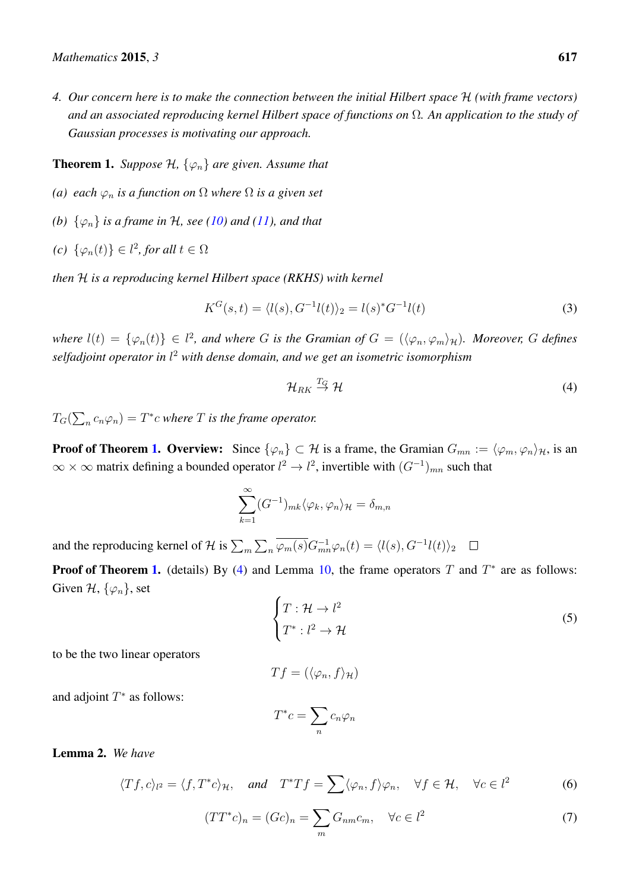*4. Our concern here is to make the connection between the initial Hilbert space* H *(with frame vectors) and an associated reproducing kernel Hilbert space of functions on* Ω*. An application to the study of Gaussian processes is motivating our approach.*

<span id="page-2-0"></span>**Theorem 1.** *Suppose*  $H$ ,  $\{\varphi_n\}$  *are given. Assume that* 

- *(a) each*  $\varphi_n$  *is a function on*  $\Omega$  *where*  $\Omega$  *is a given set*
- *(b)*  $\{\varphi_n\}$  *is a frame in* H, see [\(10\)](#page-3-1) and [\(11\)](#page-3-0), and that
- $(c) \{ \varphi_n(t) \} \in l^2$ , for all  $t \in \Omega$

*then* H *is a reproducing kernel Hilbert space (RKHS) with kernel*

<span id="page-2-3"></span>
$$
K^{G}(s,t) = \langle l(s), G^{-1}l(t) \rangle_{2} = l(s)^{*}G^{-1}l(t)
$$
\n(3)

 $\mathcal{L}$  where  $l(t) = \{\varphi_n(t)\} \in l^2$ , and where G is the Gramian of  $G = (\langle \varphi_n, \varphi_m \rangle_{\mathcal{H}})$ . Moreover, G defines *selfadjoint operator in* l <sup>2</sup> *with dense domain, and we get an isometric isomorphism*

<span id="page-2-1"></span>
$$
\mathcal{H}_{RK} \stackrel{T_G}{\rightarrow} \mathcal{H} \tag{4}
$$

 $T_G(\sum_n c_n \varphi_n) = T^*c$  where  $T$  is the frame operator.

**Proof of Theorem [1.](#page-2-0) Overview:** Since  $\{\varphi_n\} \subset \mathcal{H}$  is a frame, the Gramian  $G_{mn} := \langle \varphi_m, \varphi_n \rangle_{\mathcal{H}}$ , is an  $\infty \times \infty$  matrix defining a bounded operator  $l^2 \to l^2$ , invertible with  $(G^{-1})_{mn}$  such that

$$
\sum_{k=1}^{\infty} (G^{-1})_{mk} \langle \varphi_k, \varphi_n \rangle_{\mathcal{H}} = \delta_{m,n}
$$

and the reproducing kernel of H is  $\sum_m \sum_n \overline{\varphi_m(s)} G_{mn}^{-1} \varphi_n(t) = \langle l(s), G^{-1}l(t) \rangle_2$ 

**Proof of Theorem [1.](#page-2-0)** (details) By [\(4\)](#page-2-1) and Lemma [10,](#page-6-0) the frame operators T and  $T^*$  are as follows: Given  $\mathcal{H}, \{\varphi_n\}$ , set

$$
\begin{cases}\nT: \mathcal{H} \to l^2 \\
T^*: l^2 \to \mathcal{H}\n\end{cases} (5)
$$

to be the two linear operators

$$
Tf = (\langle \varphi_n, f \rangle_{\mathcal{H}})
$$

and adjoint  $T^*$  as follows:

$$
T^*c = \sum_n c_n \varphi_n
$$

Lemma 2. *We have*

<span id="page-2-2"></span>
$$
\langle Tf, c \rangle_{l^2} = \langle f, T^*c \rangle_{\mathcal{H}}, \quad \text{and} \quad T^*Tf = \sum \langle \varphi_n, f \rangle \varphi_n, \quad \forall f \in \mathcal{H}, \quad \forall c \in l^2 \tag{6}
$$

$$
(TT^*c)_n = (Gc)_n = \sum_m G_{nm}c_m, \quad \forall c \in l^2
$$
\n<sup>(7)</sup>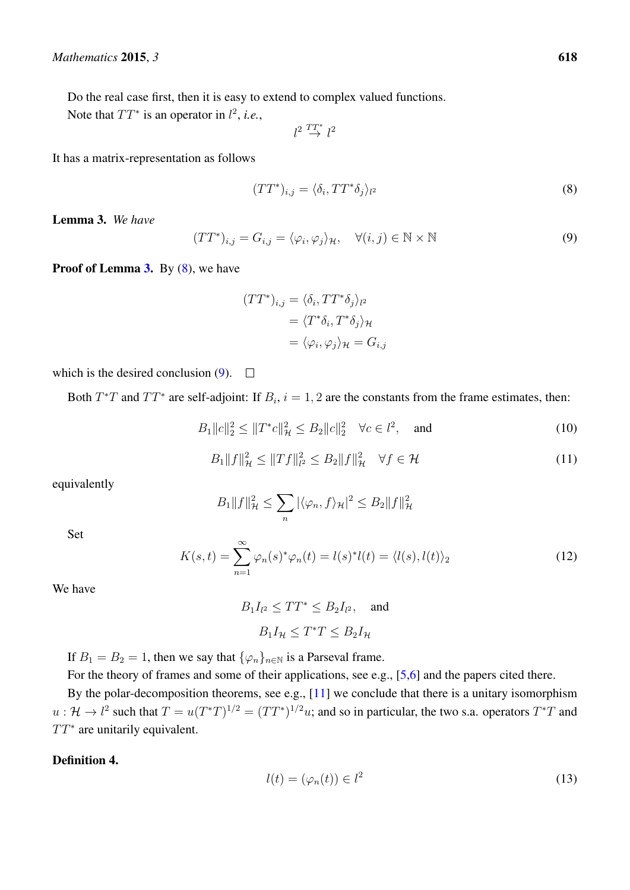Do the real case first, then it is easy to extend to complex valued functions.

Note that  $TT^*$  is an operator in  $l^2$ , *i.e.*,

 $l^2\stackrel{TT^*}{\rightarrow}l^2$ 

It has a matrix-representation as follows

<span id="page-3-3"></span>
$$
(TT^*)_{i,j} = \langle \delta_i, TT^* \delta_j \rangle_{l^2}
$$
\n(8)

<span id="page-3-2"></span>Lemma 3. *We have*

<span id="page-3-4"></span>
$$
(TT^*)_{i,j} = G_{i,j} = \langle \varphi_i, \varphi_j \rangle_{\mathcal{H}}, \quad \forall (i,j) \in \mathbb{N} \times \mathbb{N}
$$
\n(9)

Proof of Lemma [3.](#page-3-2) By [\(8\)](#page-3-3), we have

$$
(TT^*)_{i,j} = \langle \delta_i, TT^* \delta_j \rangle_{l^2}
$$

$$
= \langle T^* \delta_i, T^* \delta_j \rangle_{\mathcal{H}}
$$

$$
= \langle \varphi_i, \varphi_j \rangle_{\mathcal{H}} = G_{i,j}
$$

which is the desired conclusion [\(9\)](#page-3-4).  $\Box$ 

Both  $T^*T$  and  $TT^*$  are self-adjoint: If  $B_i$ ,  $i = 1, 2$  are the constants from the frame estimates, then:

<span id="page-3-1"></span>
$$
B_1 ||c||_2^2 \le ||T^*c||_{{\mathcal{H}}}^2 \le B_2 ||c||_2^2 \quad \forall c \in l^2, \quad \text{and} \tag{10}
$$

<span id="page-3-0"></span>
$$
B_1 \|f\|_{\mathcal{H}}^2 \le \|Tf\|_{l^2}^2 \le B_2 \|f\|_{\mathcal{H}}^2 \quad \forall f \in \mathcal{H}
$$
\n(11)

equivalently

$$
B_1||f||_{\mathcal{H}}^2 \le \sum_n |\langle \varphi_n, f \rangle_{\mathcal{H}}|^2 \le B_2||f||_{\mathcal{H}}^2
$$

Set

$$
K(s,t) = \sum_{n=1}^{\infty} \varphi_n(s)^* \varphi_n(t) = l(s)^* l(t) = \langle l(s), l(t) \rangle_2
$$
\n(12)

We have

 $B_1 I_{l^2} \leq TT^* \leq B_2 I_{l^2}$ , and  $B_1I_{\mathcal{H}} \leq T^*T \leq B_2I_{\mathcal{H}}$ 

If  $B_1 = B_2 = 1$ , then we say that  $\{\varphi_n\}_{n \in \mathbb{N}}$  is a Parseval frame.

For the theory of frames and some of their applications, see e.g., [\[5](#page-9-4)[,6\]](#page-9-5) and the papers cited there.

By the polar-decomposition theorems, see e.g., [\[11\]](#page-9-6) we conclude that there is a unitary isomorphism  $u: \mathcal{H} \to l^2$  such that  $T = u(T^*T)^{1/2} = (TT^*)^{1/2}u$ ; and so in particular, the two s.a. operators  $T^*T$  and  $TT^*$  are unitarily equivalent.

#### Definition 4.

$$
l(t) = (\varphi_n(t)) \in l^2 \tag{13}
$$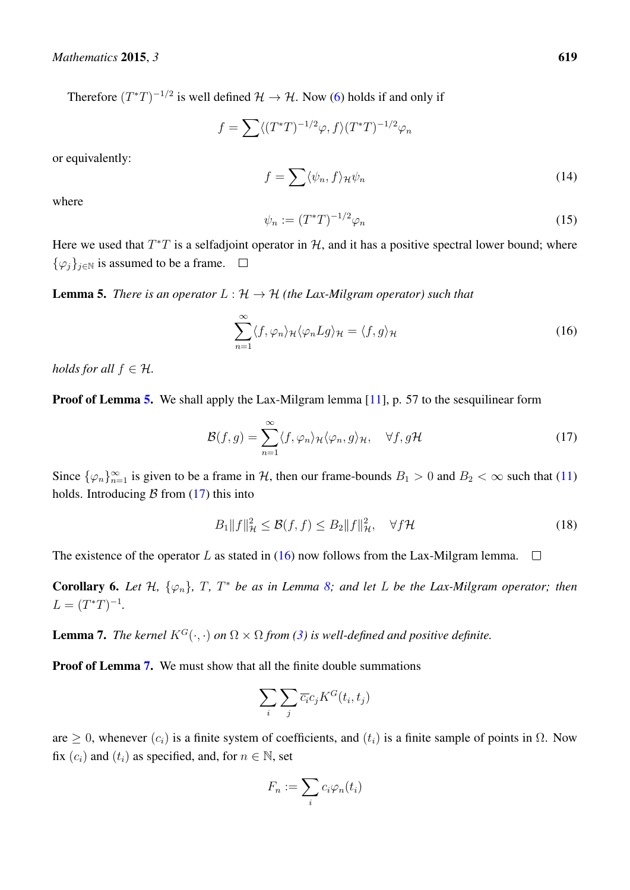Therefore  $(T^*T)^{-1/2}$  is well defined  $\mathcal{H} \to \mathcal{H}$ . Now [\(6\)](#page-2-2) holds if and only if

$$
f = \sum \langle (T^*T)^{-1/2} \varphi, f \rangle (T^*T)^{-1/2} \varphi_n
$$

or equivalently:

<span id="page-4-4"></span>
$$
f = \sum \langle \psi_n, f \rangle_{\mathcal{H}} \psi_n \tag{14}
$$

where

$$
\psi_n := (T^*T)^{-1/2}\varphi_n \tag{15}
$$

Here we used that  $T^*T$  is a selfadjoint operator in H, and it has a positive spectral lower bound; where  $\{\varphi_i\}_{i\in\mathbb{N}}$  is assumed to be a frame.  $\Box$ 

<span id="page-4-0"></span>**Lemma 5.** *There is an operator*  $L : \mathcal{H} \to \mathcal{H}$  *(the Lax-Milgram operator) such that* 

<span id="page-4-2"></span>
$$
\sum_{n=1}^{\infty} \langle f, \varphi_n \rangle_{\mathcal{H}} \langle \varphi_n L g \rangle_{\mathcal{H}} = \langle f, g \rangle_{\mathcal{H}}
$$
 (16)

*holds for all*  $f \in H$ *.* 

**Proof of Lemma [5.](#page-4-0)** We shall apply the Lax-Milgram lemma [\[11\]](#page-9-6), p. 57 to the sesquilinear form

<span id="page-4-1"></span>
$$
\mathcal{B}(f,g) = \sum_{n=1}^{\infty} \langle f, \varphi_n \rangle_{\mathcal{H}} \langle \varphi_n, g \rangle_{\mathcal{H}}, \quad \forall f, g\mathcal{H}
$$
 (17)

Since  $\{\varphi_n\}_{n=1}^{\infty}$  is given to be a frame in H, then our frame-bounds  $B_1 > 0$  and  $B_2 < \infty$  such that [\(11\)](#page-3-0) holds. Introducing  $\beta$  from [\(17\)](#page-4-1) this into

$$
B_1||f||_{\mathcal{H}}^2 \le \mathcal{B}(f,f) \le B_2||f||_{\mathcal{H}}^2, \quad \forall f\mathcal{H}
$$
\n
$$
(18)
$$

The existence of the operator L as stated in [\(16\)](#page-4-2) now follows from the Lax-Milgram lemma.  $\Box$ 

**Corollary 6.** Let  $H$ ,  $\{\varphi_n\}$ ,  $T$ ,  $T^*$  be as in Lemma [8;](#page-5-0) and let L be the Lax-Milgram operator; then  $L = (T^*T)^{-1}.$ 

<span id="page-4-3"></span>**Lemma 7.** *The kernel*  $K^G(\cdot, \cdot)$  *on*  $\Omega \times \Omega$  *from* [\(3\)](#page-2-3) *is well-defined and positive definite.* 

Proof of Lemma [7.](#page-4-3) We must show that all the finite double summations

$$
\sum_i \sum_j \overline{c_i} c_j K^G(t_i,t_j)
$$

are  $\geq 0$ , whenever  $(c_i)$  is a finite system of coefficients, and  $(t_i)$  is a finite sample of points in  $\Omega$ . Now fix  $(c_i)$  and  $(t_i)$  as specified, and, for  $n \in \mathbb{N}$ , set

$$
F_n := \sum_i c_i \varphi_n(t_i)
$$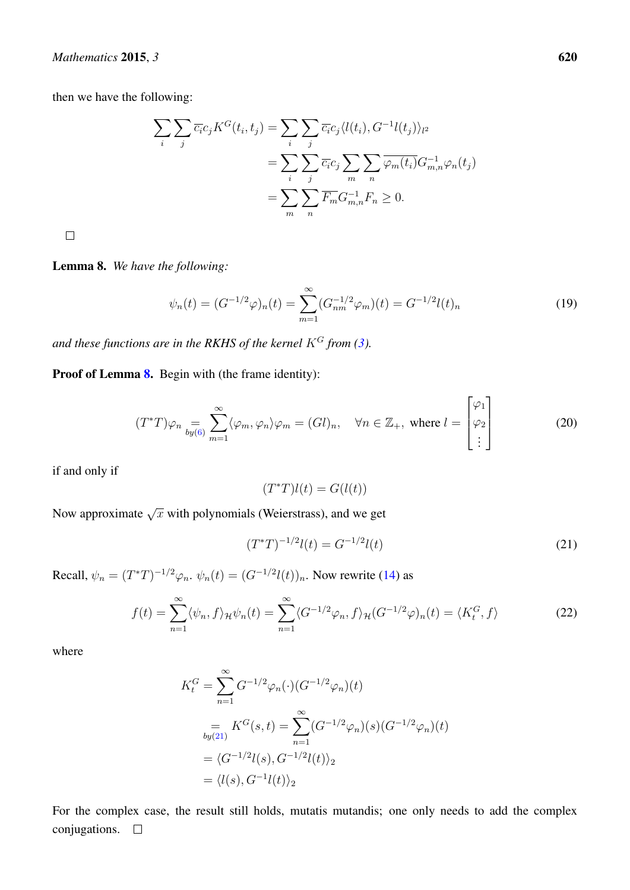then we have the following:

$$
\sum_{i} \sum_{j} \overline{c_i} c_j K^G(t_i, t_j) = \sum_{i} \sum_{j} \overline{c_i} c_j \langle l(t_i), G^{-1}l(t_j) \rangle_{l^2}
$$

$$
= \sum_{i} \sum_{j} \overline{c_i} c_j \sum_{m} \sum_{n} \overline{\varphi_m(t_i)} G^{-1}_{m,n} \varphi_n(t_j)
$$

$$
= \sum_{m} \sum_{n} \overline{F_m} G^{-1}_{m,n} F_n \ge 0.
$$

 $\Box$ 

<span id="page-5-0"></span>Lemma 8. *We have the following:*

<span id="page-5-3"></span>
$$
\psi_n(t) = (G^{-1/2}\varphi)_n(t) = \sum_{m=1}^{\infty} (G_{nm}^{-1/2}\varphi_m)(t) = G^{-1/2}l(t)_n
$$
\n(19)

and these functions are in the RKHS of the kernel  $K^G$  from [\(3\)](#page-2-3).

Proof of Lemma [8.](#page-5-0) Begin with (the frame identity):

$$
(T^*T)\varphi_n \underset{by(6)}{=} \sum_{m=1}^{\infty} \langle \varphi_m, \varphi_n \rangle \varphi_m = (Gl)_n, \quad \forall n \in \mathbb{Z}_+, \text{ where } l = \begin{bmatrix} \varphi_1 \\ \varphi_2 \\ \vdots \end{bmatrix}
$$
 (20)

if and only if

$$
(T^*T)l(t) = G(l(t))
$$

Now approximate  $\sqrt{x}$  with polynomials (Weierstrass), and we get

<span id="page-5-1"></span>
$$
(T^*T)^{-1/2}l(t) = G^{-1/2}l(t)
$$
\n(21)

Recall,  $\psi_n = (T^*T)^{-1/2} \varphi_n$ .  $\psi_n(t) = (G^{-1/2}l(t))_n$ . Now rewrite [\(14\)](#page-4-4) as

<span id="page-5-2"></span>
$$
f(t) = \sum_{n=1}^{\infty} \langle \psi_n, f \rangle_{\mathcal{H}} \psi_n(t) = \sum_{n=1}^{\infty} \langle G^{-1/2} \varphi_n, f \rangle_{\mathcal{H}} (G^{-1/2} \varphi)_n(t) = \langle K_t^G, f \rangle
$$
 (22)

where

$$
K_t^G = \sum_{n=1}^{\infty} G^{-1/2} \varphi_n(\cdot) (G^{-1/2} \varphi_n)(t)
$$
  
=  $K^G(s, t) = \sum_{n=1}^{\infty} (G^{-1/2} \varphi_n)(s) (G^{-1/2} \varphi_n)(t)$   
=  $\langle G^{-1/2}l(s), G^{-1/2}l(t) \rangle_2$   
=  $\langle l(s), G^{-1}l(t) \rangle_2$ 

For the complex case, the result still holds, mutatis mutandis; one only needs to add the complex conjugations. $\Box$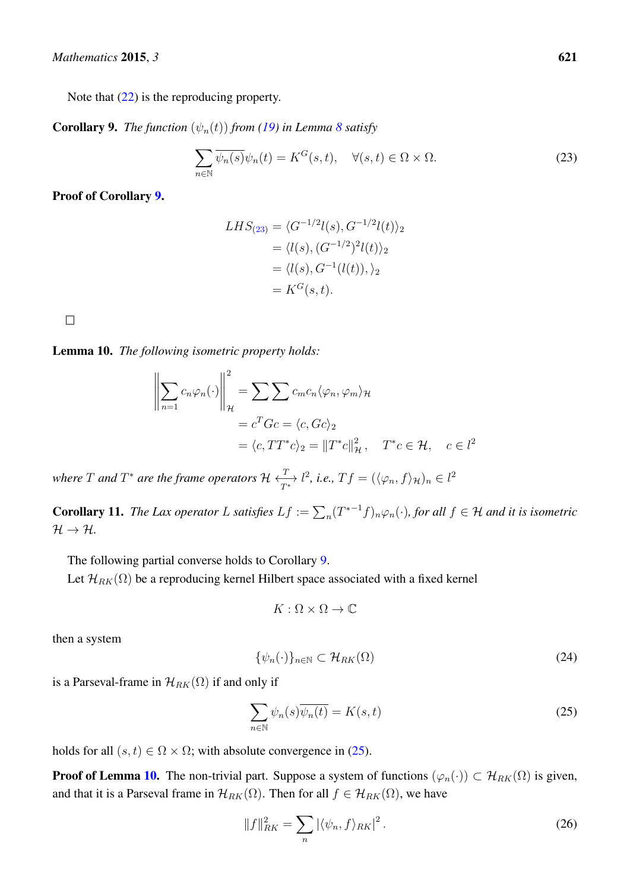Note that  $(22)$  is the reproducing property.

<span id="page-6-1"></span>**Corollary 9.** *The function*  $(\psi_n(t))$  *from* [\(19\)](#page-5-3) *in Lemma* [8](#page-5-0) *satisfy* 

<span id="page-6-2"></span>
$$
\sum_{n \in \mathbb{N}} \overline{\psi_n(s)} \psi_n(t) = K^G(s, t), \quad \forall (s, t) \in \Omega \times \Omega.
$$
 (23)

Proof of Corollary [9.](#page-6-1)

$$
LHS_{(23)} = \langle G^{-1/2}l(s), G^{-1/2}l(t)\rangle_2
$$
  
=  $\langle l(s), (G^{-1/2})^2l(t)\rangle_2$   
=  $\langle l(s), G^{-1}(l(t)), \rangle_2$   
=  $K^G(s, t)$ .

 $\Box$ 

<span id="page-6-0"></span>Lemma 10. *The following isometric property holds:*

$$
\left\| \sum_{n=1} c_n \varphi_n(\cdot) \right\|_{\mathcal{H}}^2 = \sum \sum c_m c_n \langle \varphi_n, \varphi_m \rangle_{\mathcal{H}}
$$
  
=  $c^T G c = \langle c, G c \rangle_2$   
=  $\langle c, TT^* c \rangle_2 = ||T^* c||_{\mathcal{H}}^2, \quad T^* c \in \mathcal{H}, \quad c \in l^2$ 

where  $T$  and  $T^*$  are the frame operators  $\mathcal{H} \xleftarrow{T^*} l^2$ , i.e.,  $Tf = (\langle \varphi_n, f \rangle_{\mathcal{H}})_n \in l^2$ 

**Corollary 11.** The Lax operator L satisfies  $Lf := \sum_n (T^{*-1}f)_n \varphi_n(\cdot)$ , for all  $f \in H$  and it is isometric  $H \rightarrow H$ .

The following partial converse holds to Corollary [9.](#page-6-1)

Let  $\mathcal{H}_{RK}(\Omega)$  be a reproducing kernel Hilbert space associated with a fixed kernel

$$
K:\Omega\times\Omega\to\mathbb{C}
$$

then a system

$$
\{\psi_n(\cdot)\}_{n\in\mathbb{N}}\subset\mathcal{H}_{RK}(\Omega)\tag{24}
$$

is a Parseval-frame in  $\mathcal{H}_{RK}(\Omega)$  if and only if

<span id="page-6-3"></span>
$$
\sum_{n \in \mathbb{N}} \psi_n(s) \overline{\psi_n(t)} = K(s, t)
$$
\n(25)

holds for all  $(s, t) \in \Omega \times \Omega$ ; with absolute convergence in [\(25\)](#page-6-3).

**Proof of Lemma [10.](#page-6-0)** The non-trivial part. Suppose a system of functions  $(\varphi_n(\cdot)) \subset \mathcal{H}_{RK}(\Omega)$  is given, and that it is a Parseval frame in  $\mathcal{H}_{RK}(\Omega)$ . Then for all  $f \in \mathcal{H}_{RK}(\Omega)$ , we have

<span id="page-6-4"></span>
$$
||f||_{RK}^2 = \sum_n |\langle \psi_n, f \rangle_{RK}|^2.
$$
 (26)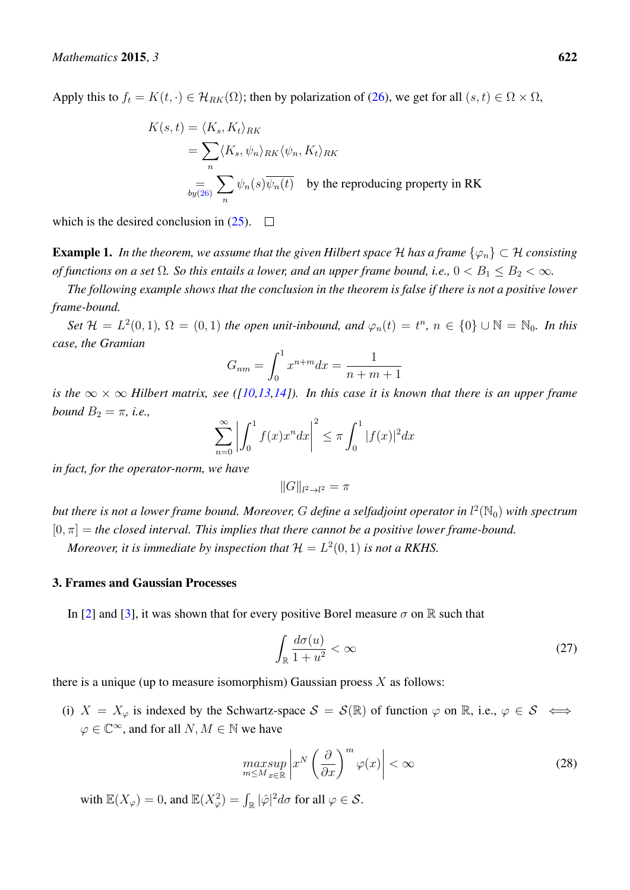Apply this to  $f_t = K(t, \cdot) \in \mathcal{H}_{RK}(\Omega)$ ; then by polarization of [\(26\)](#page-6-4), we get for all  $(s, t) \in \Omega \times \Omega$ ,

$$
K(s,t) = \langle K_s, K_t \rangle_{RK}
$$
  
=  $\sum_n \langle K_s, \psi_n \rangle_{RK} \langle \psi_n, K_t \rangle_{RK}$   
=  $\sum_{by(26)} \sum_n \psi_n(s) \overline{\psi_n(t)}$  by the reproducing property in RK

which is the desired conclusion in  $(25)$ .  $\Box$ 

**Example 1.** *In the theorem, we assume that the given Hilbert space* H *has a frame*  $\{\varphi_n\} \subset H$  *consisting of functions on a set*  $\Omega$ *. So this entails a lower, and an upper frame bound, i.e.,*  $0 < B_1 \leq B_2 < \infty$ *.* 

*The following example shows that the conclusion in the theorem is false if there is not a positive lower frame-bound.*

*Set*  $\mathcal{H} = L^2(0,1)$ ,  $\Omega = (0,1)$  *the open unit-inbound, and*  $\varphi_n(t) = t^n$ ,  $n \in \{0\} \cup \mathbb{N} = \mathbb{N}_0$ *. In this case, the Gramian*

$$
G_{nm} = \int_0^1 x^{n+m} dx = \frac{1}{n+m+1}
$$

*is the*  $\infty \times \infty$  *Hilbert matrix, see* ([\[10,](#page-9-7)[13,](#page-9-8)[14\]](#page-9-9)). In this case it is known that there is an upper frame *bound*  $B_2 = \pi$ *, i.e.,* 

$$
\sum_{n=0}^{\infty} \left| \int_0^1 f(x) x^n dx \right|^2 \le \pi \int_0^1 |f(x)|^2 dx
$$

*in fact, for the operator-norm, we have*

$$
||G||_{l^2 \to l^2} = \pi
$$

*but there is not a lower frame bound. Moreover,* G *define a selfadjoint operator in* l 2 (N0) *with spectrum*  $[0, \pi] =$  *the closed interval. This implies that there cannot be a positive lower frame-bound.* 

*Moreover, it is immediate by inspection that*  $\mathcal{H} = L^2(0, 1)$  *is not a RKHS.* 

#### <span id="page-7-0"></span>3. Frames and Gaussian Processes

In [\[2\]](#page-9-10) and [\[3\]](#page-9-11), it was shown that for every positive Borel measure  $\sigma$  on R such that

$$
\int_{\mathbb{R}} \frac{d\sigma(u)}{1+u^2} < \infty \tag{27}
$$

there is a unique (up to measure isomorphism) Gaussian proess  $X$  as follows:

(i)  $X = X_{\varphi}$  is indexed by the Schwartz-space  $S = S(\mathbb{R})$  of function  $\varphi$  on  $\mathbb{R}$ , i.e.,  $\varphi \in S \iff$  $\varphi \in \mathbb{C}^{\infty}$ , and for all  $N, M \in \mathbb{N}$  we have

$$
\max_{m \le M} \sup_{x \in \mathbb{R}} \left| x^N \left( \frac{\partial}{\partial x} \right)^m \varphi(x) \right| < \infty \tag{28}
$$

with  $\mathbb{E}(X_{\varphi}) = 0$ , and  $\mathbb{E}(X_{\varphi}^2) = \int_{\mathbb{R}} |\hat{\varphi}|^2 d\sigma$  for all  $\varphi \in \mathcal{S}$ .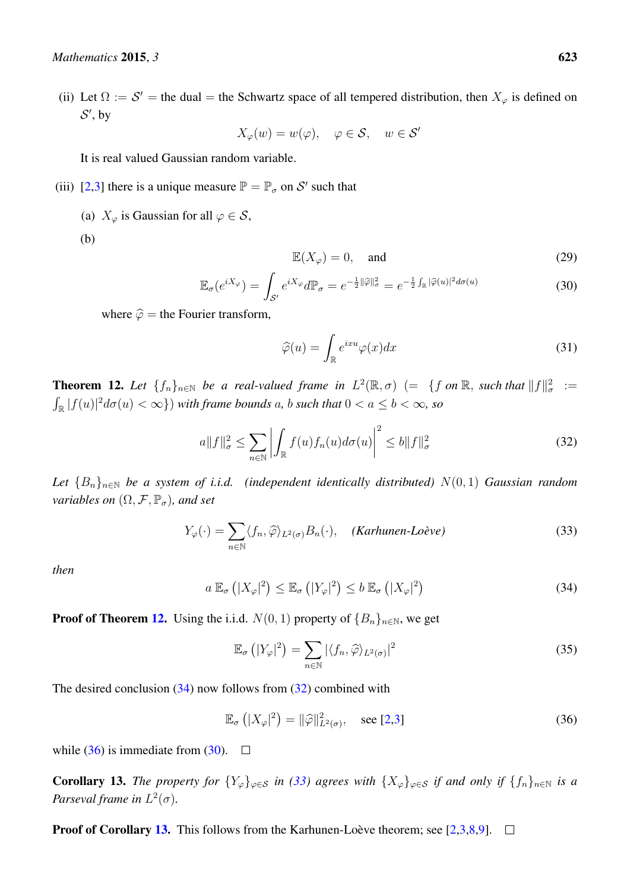(ii) Let  $\Omega := S'$  = the dual = the Schwartz space of all tempered distribution, then  $X_{\varphi}$  is defined on  $\mathcal{S}'$ , by

 $X_{\varphi}(w) = w(\varphi), \quad \varphi \in \mathcal{S}, \quad w \in \mathcal{S}'$ 

It is real valued Gaussian random variable.

- (iii) [\[2,](#page-9-10)[3\]](#page-9-11) there is a unique measure  $\mathbb{P} = \mathbb{P}_{\sigma}$  on S' such that
	- (a)  $X_{\varphi}$  is Gaussian for all  $\varphi \in \mathcal{S}$ ,
	- (b)

$$
\mathbb{E}(X_{\varphi}) = 0, \quad \text{and} \tag{29}
$$

<span id="page-8-4"></span>
$$
\mathbb{E}_{\sigma}(e^{iX_{\varphi}}) = \int_{\mathcal{S}'} e^{iX_{\varphi}} d\mathbb{P}_{\sigma} = e^{-\frac{1}{2}||\widehat{\varphi}||_{\sigma}^{2}} = e^{-\frac{1}{2}\int_{\mathbb{R}} |\widehat{\varphi}(u)|^{2} d\sigma(u)}
$$
(30)

where  $\hat{\varphi}$  = the Fourier transform,

$$
\widehat{\varphi}(u) = \int_{\mathbb{R}} e^{ixu} \varphi(x) dx \tag{31}
$$

<span id="page-8-0"></span>**Theorem 12.** Let  $\{f_n\}_{n\in\mathbb{N}}$  be a real-valued frame in  $L^2(\mathbb{R}, \sigma)$  (=  $\{f \text{ on } \mathbb{R}, \text{ such that } ||f||^2_{\sigma}$  :=  $\int_{\mathbb{R}} |f(u)|^2 d\sigma(u) < \infty$ }) with frame bounds a, b such that  $0 < a \leq b < \infty$ , so

<span id="page-8-2"></span>
$$
a\|f\|_{\sigma}^2 \le \sum_{n\in\mathbb{N}} \left| \int_{\mathbb{R}} f(u)f_n(u)d\sigma(u) \right|^2 \le b\|f\|_{\sigma}^2 \tag{32}
$$

Let  ${B_n}_{n\in\mathbb{N}}$  be a system of i.i.d. (independent identically distributed)  $N(0, 1)$  *Gaussian random variables on*  $(\Omega, \mathcal{F}, \mathbb{P}_{\sigma})$ *, and set* 

<span id="page-8-5"></span>
$$
Y_{\varphi}(\cdot) = \sum_{n \in \mathbb{N}} \langle f_n, \widehat{\varphi} \rangle_{L^2(\sigma)} B_n(\cdot), \quad (Karhunen-Lo\grave{e}ve)
$$
 (33)

*then*

<span id="page-8-1"></span>
$$
a \mathbb{E}_{\sigma} \left( |X_{\varphi}|^2 \right) \le \mathbb{E}_{\sigma} \left( |Y_{\varphi}|^2 \right) \le b \mathbb{E}_{\sigma} \left( |X_{\varphi}|^2 \right) \tag{34}
$$

**Proof of Theorem [12.](#page-8-0)** Using the i.i.d.  $N(0, 1)$  property of  ${B_n}_{n \in \mathbb{N}}$ , we get

$$
\mathbb{E}_{\sigma}\left(|Y_{\varphi}|^{2}\right) = \sum_{n \in \mathbb{N}} |\langle f_{n}, \widehat{\varphi} \rangle_{L^{2}(\sigma)}|^{2}
$$
\n(35)

The desired conclusion [\(34\)](#page-8-1) now follows from [\(32\)](#page-8-2) combined with

<span id="page-8-3"></span>
$$
\mathbb{E}_{\sigma}\left(|X_{\varphi}|^{2}\right) = ||\widehat{\varphi}||_{L^{2}(\sigma)}^{2}, \quad \text{see [2,3]}
$$
 (36)

while [\(36\)](#page-8-3) is immediate from [\(30\)](#page-8-4).  $\Box$ 

<span id="page-8-6"></span>**Corollary 13.** *The property for*  $\{Y_{\varphi}\}_{\varphi \in S}$  *in* [\(33\)](#page-8-5) agrees with  $\{X_{\varphi}\}_{\varphi \in S}$  *if and only if*  $\{f_n\}_{n \in \mathbb{N}}$  *is a Parseval frame in*  $L^2(\sigma)$ *.* 

**Proof of Corollary [13.](#page-8-6)** This follows from the Karhunen-Loève theorem; see [\[2](#page-9-10)[,3](#page-9-11)[,8](#page-9-12)[,9\]](#page-9-13).  $\Box$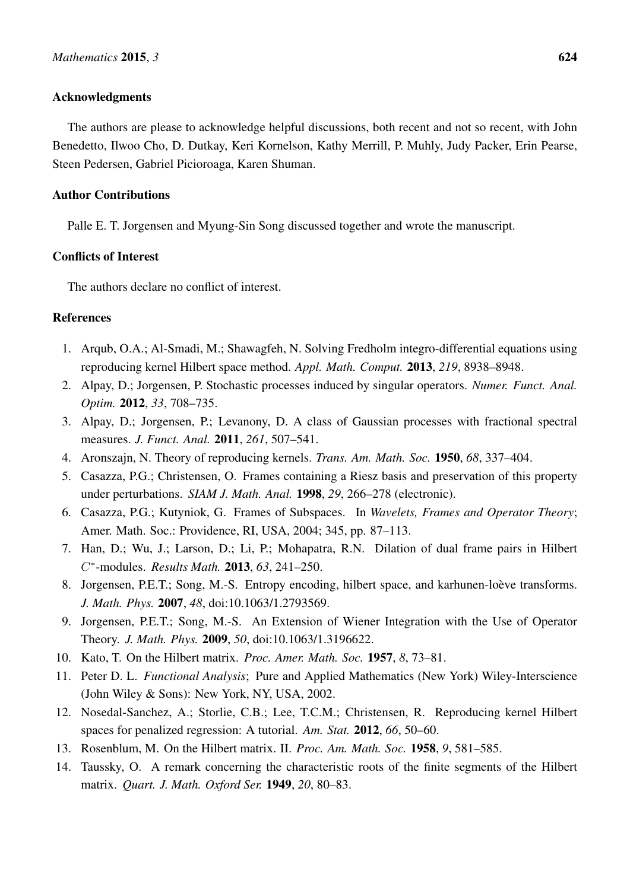#### Acknowledgments

The authors are please to acknowledge helpful discussions, both recent and not so recent, with John Benedetto, Ilwoo Cho, D. Dutkay, Keri Kornelson, Kathy Merrill, P. Muhly, Judy Packer, Erin Pearse, Steen Pedersen, Gabriel Picioroaga, Karen Shuman.

# Author Contributions

Palle E. T. Jorgensen and Myung-Sin Song discussed together and wrote the manuscript.

### Conflicts of Interest

The authors declare no conflict of interest.

# **References**

- <span id="page-9-0"></span>1. Arqub, O.A.; Al-Smadi, M.; Shawagfeh, N. Solving Fredholm integro-differential equations using reproducing kernel Hilbert space method. *Appl. Math. Comput.* 2013, *219*, 8938–8948.
- <span id="page-9-10"></span>2. Alpay, D.; Jorgensen, P. Stochastic processes induced by singular operators. *Numer. Funct. Anal. Optim.* 2012, *33*, 708–735.
- <span id="page-9-11"></span>3. Alpay, D.; Jorgensen, P.; Levanony, D. A class of Gaussian processes with fractional spectral measures. *J. Funct. Anal.* 2011, *261*, 507–541.
- <span id="page-9-1"></span>4. Aronszajn, N. Theory of reproducing kernels. *Trans. Am. Math. Soc.* 1950, *68*, 337–404.
- <span id="page-9-4"></span>5. Casazza, P.G.; Christensen, O. Frames containing a Riesz basis and preservation of this property under perturbations. *SIAM J. Math. Anal.* 1998, *29*, 266–278 (electronic).
- <span id="page-9-5"></span>6. Casazza, P.G.; Kutyniok, G. Frames of Subspaces. In *Wavelets, Frames and Operator Theory*; Amer. Math. Soc.: Providence, RI, USA, 2004; 345, pp. 87–113.
- <span id="page-9-2"></span>7. Han, D.; Wu, J.; Larson, D.; Li, P.; Mohapatra, R.N. Dilation of dual frame pairs in Hilbert C ∗ -modules. *Results Math.* 2013, *63*, 241–250.
- <span id="page-9-12"></span>8. Jorgensen, P.E.T.; Song, M.-S. Entropy encoding, hilbert space, and karhunen-loève transforms. *J. Math. Phys.* 2007, *48*, doi:10.1063/1.2793569.
- <span id="page-9-13"></span>9. Jorgensen, P.E.T.; Song, M.-S. An Extension of Wiener Integration with the Use of Operator Theory. *J. Math. Phys.* 2009, *50*, doi:10.1063/1.3196622.
- <span id="page-9-7"></span>10. Kato, T. On the Hilbert matrix. *Proc. Amer. Math. Soc.* 1957, *8*, 73–81.
- <span id="page-9-6"></span>11. Peter D. L. *Functional Analysis*; Pure and Applied Mathematics (New York) Wiley-Interscience (John Wiley & Sons): New York, NY, USA, 2002.
- <span id="page-9-3"></span>12. Nosedal-Sanchez, A.; Storlie, C.B.; Lee, T.C.M.; Christensen, R. Reproducing kernel Hilbert spaces for penalized regression: A tutorial. *Am. Stat.* 2012, *66*, 50–60.
- <span id="page-9-8"></span>13. Rosenblum, M. On the Hilbert matrix. II. *Proc. Am. Math. Soc.* 1958, *9*, 581–585.
- <span id="page-9-9"></span>14. Taussky, O. A remark concerning the characteristic roots of the finite segments of the Hilbert matrix. *Quart. J. Math. Oxford Ser.* 1949, *20*, 80–83.